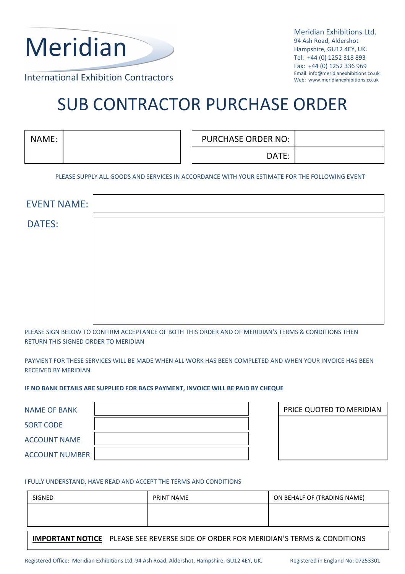

 Meridian Exhibitions Ltd. 94 Ash Road, Aldershot Hampshire, GU12 4EY, UK. Tel: +44 (0) 1252 318 893 Fax: +44 (0) 1252 336 969 Email: info@meridianexhibitions.co.uk Web: www.meridianexhibitions.co.uk

**International Exhibition Contractors** 

# SUB CONTRACTOR PURCHASE ORDER

| NAME: | <b>PURCHASE ORDER NO:</b> |  |
|-------|---------------------------|--|
|       | DATE:                     |  |

PLEASE SUPPLY ALL GOODS AND SERVICES IN ACCORDANCE WITH YOUR ESTIMATE FOR THE FOLLOWING EVENT

| <b>EVENT NAME:</b> |  |  |
|--------------------|--|--|
| <b>DATES:</b>      |  |  |
|                    |  |  |
|                    |  |  |
|                    |  |  |
|                    |  |  |

PLEASE SIGN BELOW TO CONFIRM ACCEPTANCE OF BOTH THIS ORDER AND OF MERIDIAN'S TERMS & CONDITIONS THEN RETURN THIS SIGNED ORDER TO MERIDIAN

PAYMENT FOR THESE SERVICES WILL BE MADE WHEN ALL WORK HAS BEEN COMPLETED AND WHEN YOUR INVOICE HAS BEEN RECEIVED BY MERIDIAN

IF NO BANK DETAILS ARE SUPPLIED FOR BACS PAYMENT, INVOICE WILL BE PAID BY CHEQUE

| <b>NAME OF BANK</b>   |  |
|-----------------------|--|
| <b>SORT CODE</b>      |  |
| <b>ACCOUNT NAME</b>   |  |
| <b>ACCOUNT NUMBER</b> |  |

| PRICE QUOTED TO MERIDIAN |  |  |
|--------------------------|--|--|
|                          |  |  |
|                          |  |  |
|                          |  |  |

## I FULLY UNDERSTAND, HAVE READ AND ACCEPT THE TERMS AND CONDITIONS

| SIGNED | PRINT NAME | ON BEHALF OF (TRADING NAME) |
|--------|------------|-----------------------------|
|        |            |                             |
|        |            |                             |

IMPORTANT NOTICE PLEASE SEE REVERSE SIDE OF ORDER FOR MERIDIAN'S TERMS & CONDITIONS